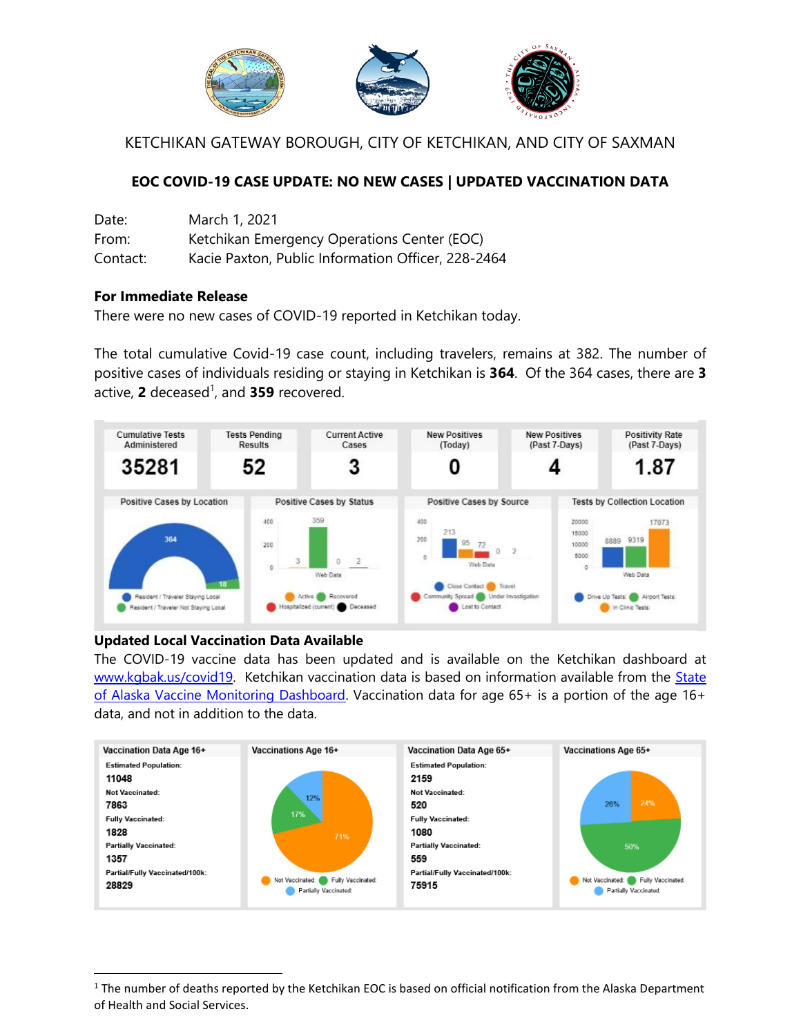

KETCHIKAN GATEWAY BOROUGH, CITY OF KETCHIKAN, AND CITY OF SAXMAN

## **EOC COVID-19 CASE UPDATE: NO NEW CASES | UPDATED VACCINATION DATA**

| Date:    | March 1, 2021                                      |
|----------|----------------------------------------------------|
| From:    | Ketchikan Emergency Operations Center (EOC)        |
| Contact: | Kacie Paxton, Public Information Officer, 228-2464 |

## **For Immediate Release**

There were no new cases of COVID-19 reported in Ketchikan today.

The total cumulative Covid-19 case count, including travelers, remains at 382. The number of positive cases of individuals residing or staying in Ketchikan is **364**. Of the 364 cases, there are **3** active, **2** deceased 1 , and **359** recovered.



## **Updated Local Vaccination Data Available**

 $\overline{a}$ 

The COVID-19 vaccine data has been updated and is available on the Ketchikan dashboard at [www.kgbak.us/covid19.](http://www.kgbak.us/covid19) Ketchikan vaccination data is based on information available from the [State](https://www.arcgis.com/apps/opsdashboard/index.html#/84691dc5b0184827af0fd8e4c20034d9)  [of Alaska Vaccine Monitoring Dashboard.](https://www.arcgis.com/apps/opsdashboard/index.html#/84691dc5b0184827af0fd8e4c20034d9) Vaccination data for age 65+ is a portion of the age 16+ data, and not in addition to the data.



 $1$  The number of deaths reported by the Ketchikan EOC is based on official notification from the Alaska Department of Health and Social Services.